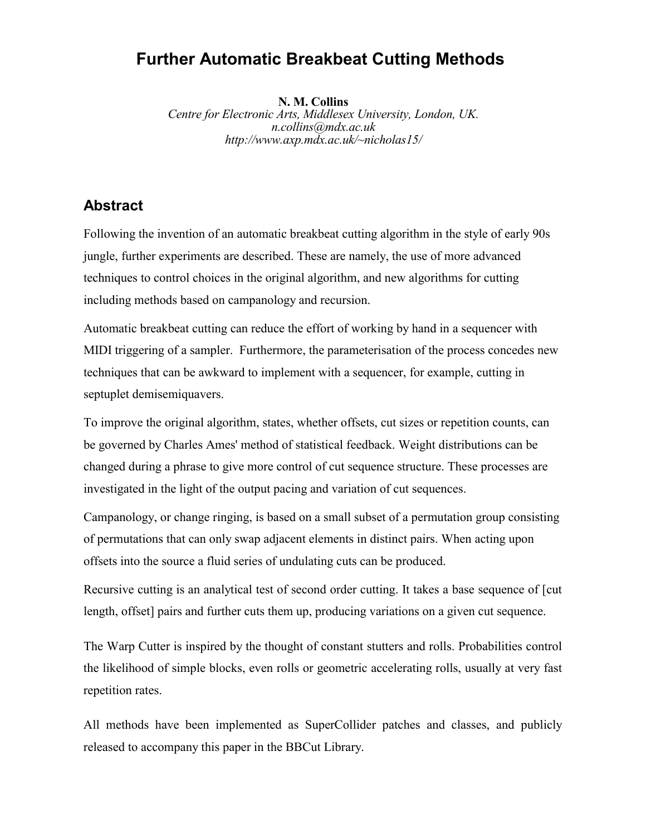# **Further Automatic Breakbeat Cutting Methods**

**N. M. Collins**

*Centre for Electronic Arts, Middlesex University, London, UK. n.collins@mdx.ac.uk http://www.axp.mdx.ac.uk/~nicholas15/*

## **Abstract**

Following the invention of an automatic breakbeat cutting algorithm in the style of early 90s jungle, further experiments are described. These are namely, the use of more advanced techniques to control choices in the original algorithm, and new algorithms for cutting including methods based on campanology and recursion.

Automatic breakbeat cutting can reduce the effort of working by hand in a sequencer with MIDI triggering of a sampler. Furthermore, the parameterisation of the process concedes new techniques that can be awkward to implement with a sequencer, for example, cutting in septuplet demisemiquavers.

To improve the original algorithm, states, whether offsets, cut sizes or repetition counts, can be governed by Charles Ames' method of statistical feedback. Weight distributions can be changed during a phrase to give more control of cut sequence structure. These processes are investigated in the light of the output pacing and variation of cut sequences.

Campanology, or change ringing, is based on a small subset of a permutation group consisting of permutations that can only swap adjacent elements in distinct pairs. When acting upon offsets into the source a fluid series of undulating cuts can be produced.

Recursive cutting is an analytical test of second order cutting. It takes a base sequence of [cut length, offset] pairs and further cuts them up, producing variations on a given cut sequence.

The Warp Cutter is inspired by the thought of constant stutters and rolls. Probabilities control the likelihood of simple blocks, even rolls or geometric accelerating rolls, usually at very fast repetition rates.

All methods have been implemented as SuperCollider patches and classes, and publicly released to accompany this paper in the BBCut Library.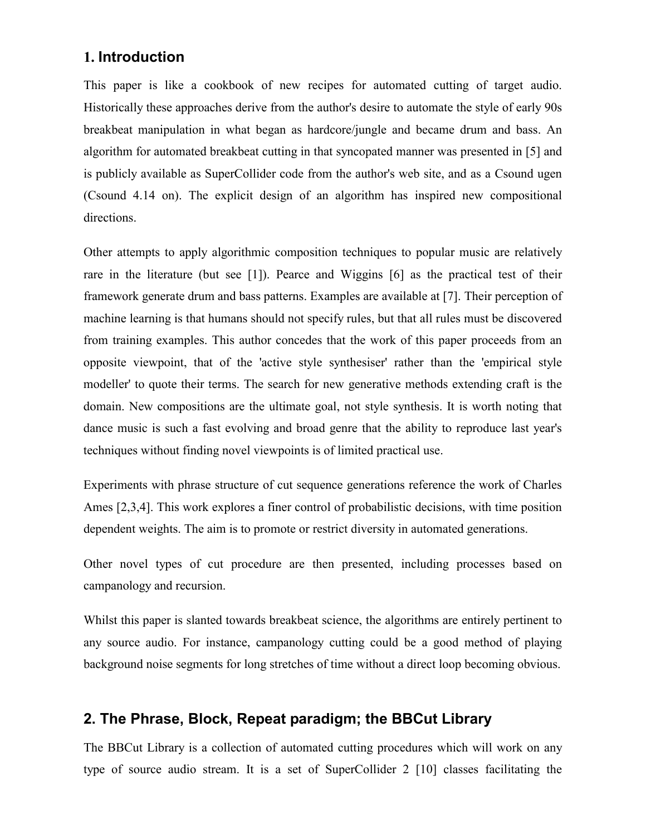## **1. Introduction**

This paper is like a cookbook of new recipes for automated cutting of target audio. Historically these approaches derive from the author's desire to automate the style of early 90s breakbeat manipulation in what began as hardcore/jungle and became drum and bass. An algorithm for automated breakbeat cutting in that syncopated manner was presented in [5] and is publicly available as SuperCollider code from the author's web site, and as a Csound ugen (Csound 4.14 on). The explicit design of an algorithm has inspired new compositional directions.

Other attempts to apply algorithmic composition techniques to popular music are relatively rare in the literature (but see [1]). Pearce and Wiggins [6] as the practical test of their framework generate drum and bass patterns. Examples are available at [7]. Their perception of machine learning is that humans should not specify rules, but that all rules must be discovered from training examples. This author concedes that the work of this paper proceeds from an opposite viewpoint, that of the 'active style synthesiser' rather than the 'empirical style modeller' to quote their terms. The search for new generative methods extending craft is the domain. New compositions are the ultimate goal, not style synthesis. It is worth noting that dance music is such a fast evolving and broad genre that the ability to reproduce last year's techniques without finding novel viewpoints is of limited practical use.

Experiments with phrase structure of cut sequence generations reference the work of Charles Ames [2,3,4]. This work explores a finer control of probabilistic decisions, with time position dependent weights. The aim is to promote or restrict diversity in automated generations.

Other novel types of cut procedure are then presented, including processes based on campanology and recursion.

Whilst this paper is slanted towards breakbeat science, the algorithms are entirely pertinent to any source audio. For instance, campanology cutting could be a good method of playing background noise segments for long stretches of time without a direct loop becoming obvious.

## **2. The Phrase, Block, Repeat paradigm; the BBCut Library**

The BBCut Library is a collection of automated cutting procedures which will work on any type of source audio stream. It is a set of SuperCollider 2 [10] classes facilitating the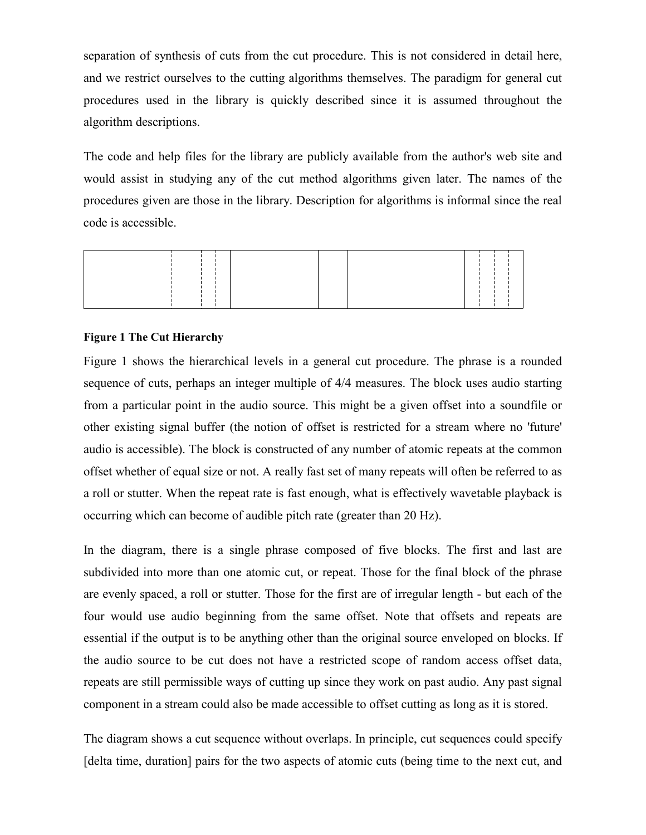separation of synthesis of cuts from the cut procedure. This is not considered in detail here, and we restrict ourselves to the cutting algorithms themselves. The paradigm for general cut procedures used in the library is quickly described since it is assumed throughout the algorithm descriptions.

The code and help files for the library are publicly available from the author's web site and would assist in studying any of the cut method algorithms given later. The names of the procedures given are those in the library. Description for algorithms is informal since the real code is accessible.



#### **Figure 1 The Cut Hierarchy**

Figure 1 shows the hierarchical levels in a general cut procedure. The phrase is a rounded sequence of cuts, perhaps an integer multiple of 4/4 measures. The block uses audio starting from a particular point in the audio source. This might be a given offset into a soundfile or other existing signal buffer (the notion of offset is restricted for a stream where no 'future' audio is accessible). The block is constructed of any number of atomic repeats at the common offset whether of equal size or not. A really fast set of many repeats will often be referred to as a roll or stutter. When the repeat rate is fast enough, what is effectively wavetable playback is occurring which can become of audible pitch rate (greater than 20 Hz).

In the diagram, there is a single phrase composed of five blocks. The first and last are subdivided into more than one atomic cut, or repeat. Those for the final block of the phrase are evenly spaced, a roll or stutter. Those for the first are of irregular length - but each of the four would use audio beginning from the same offset. Note that offsets and repeats are essential if the output is to be anything other than the original source enveloped on blocks. If the audio source to be cut does not have a restricted scope of random access offset data, repeats are still permissible ways of cutting up since they work on past audio. Any past signal component in a stream could also be made accessible to offset cutting as long as it is stored.

The diagram shows a cut sequence without overlaps. In principle, cut sequences could specify [delta time, duration] pairs for the two aspects of atomic cuts (being time to the next cut, and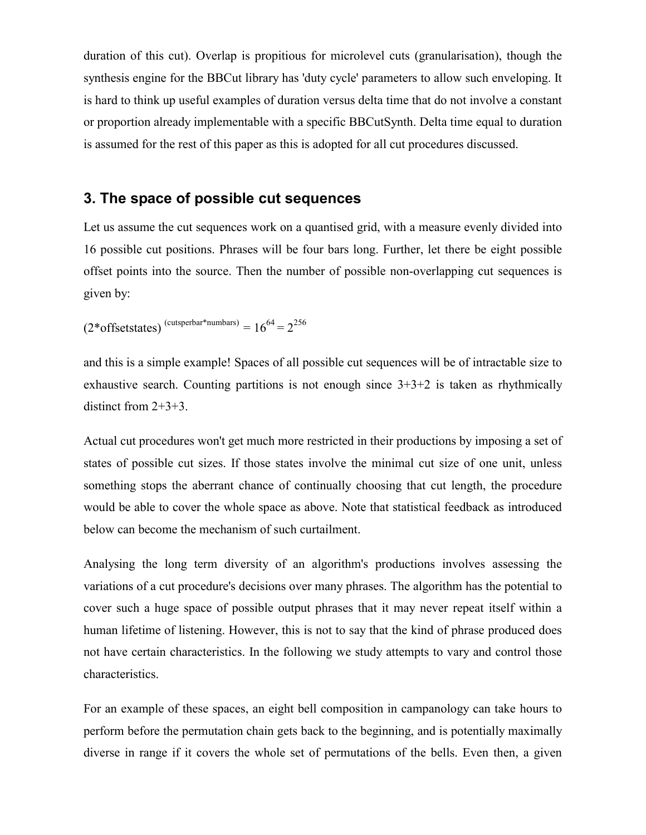duration of this cut). Overlap is propitious for microlevel cuts (granularisation), though the synthesis engine for the BBCut library has 'duty cycle' parameters to allow such enveloping. It is hard to think up useful examples of duration versus delta time that do not involve a constant or proportion already implementable with a specific BBCutSynth. Delta time equal to duration is assumed for the rest of this paper as this is adopted for all cut procedures discussed.

### **3. The space of possible cut sequences**

Let us assume the cut sequences work on a quantised grid, with a measure evenly divided into 16 possible cut positions. Phrases will be four bars long. Further, let there be eight possible offset points into the source. Then the number of possible non-overlapping cut sequences is given by:

$$
(2^* \text{offsetstates})^{\text{(cutsperbar*numbars)}} = 16^{64} = 2^{256}
$$

and this is a simple example! Spaces of all possible cut sequences will be of intractable size to exhaustive search. Counting partitions is not enough since  $3+3+2$  is taken as rhythmically distinct from 2+3+3.

Actual cut procedures won't get much more restricted in their productions by imposing a set of states of possible cut sizes. If those states involve the minimal cut size of one unit, unless something stops the aberrant chance of continually choosing that cut length, the procedure would be able to cover the whole space as above. Note that statistical feedback as introduced below can become the mechanism of such curtailment.

Analysing the long term diversity of an algorithm's productions involves assessing the variations of a cut procedure's decisions over many phrases. The algorithm has the potential to cover such a huge space of possible output phrases that it may never repeat itself within a human lifetime of listening. However, this is not to say that the kind of phrase produced does not have certain characteristics. In the following we study attempts to vary and control those characteristics.

For an example of these spaces, an eight bell composition in campanology can take hours to perform before the permutation chain gets back to the beginning, and is potentially maximally diverse in range if it covers the whole set of permutations of the bells. Even then, a given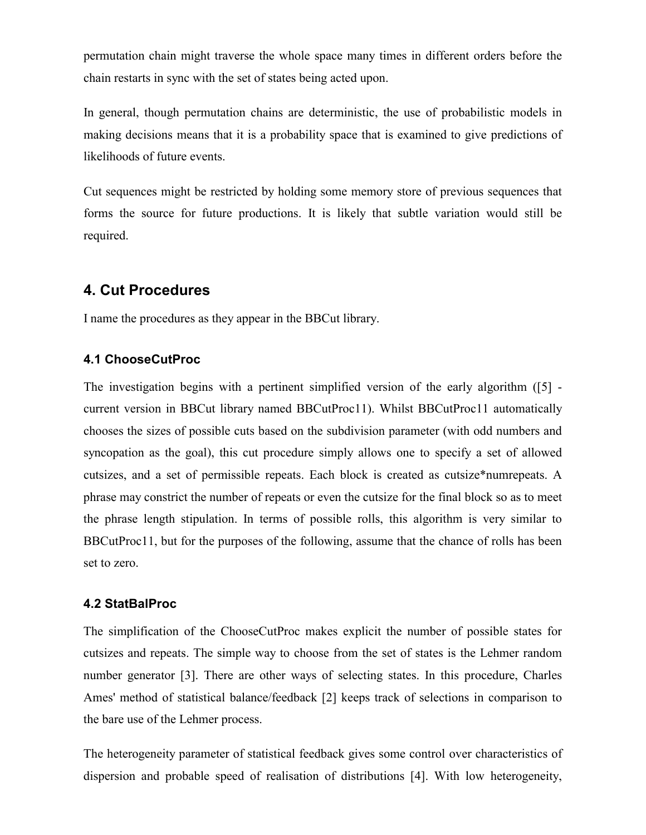permutation chain might traverse the whole space many times in different orders before the chain restarts in sync with the set of states being acted upon.

In general, though permutation chains are deterministic, the use of probabilistic models in making decisions means that it is a probability space that is examined to give predictions of likelihoods of future events.

Cut sequences might be restricted by holding some memory store of previous sequences that forms the source for future productions. It is likely that subtle variation would still be required.

### **4. Cut Procedures**

I name the procedures as they appear in the BBCut library.

#### **4.1 ChooseCutProc**

The investigation begins with a pertinent simplified version of the early algorithm ([5] current version in BBCut library named BBCutProc11). Whilst BBCutProc11 automatically chooses the sizes of possible cuts based on the subdivision parameter (with odd numbers and syncopation as the goal), this cut procedure simply allows one to specify a set of allowed cutsizes, and a set of permissible repeats. Each block is created as cutsize\*numrepeats. A phrase may constrict the number of repeats or even the cutsize for the final block so as to meet the phrase length stipulation. In terms of possible rolls, this algorithm is very similar to BBCutProc11, but for the purposes of the following, assume that the chance of rolls has been set to zero.

#### **4.2 StatBalProc**

The simplification of the ChooseCutProc makes explicit the number of possible states for cutsizes and repeats. The simple way to choose from the set of states is the Lehmer random number generator [3]. There are other ways of selecting states. In this procedure, Charles Ames' method of statistical balance/feedback [2] keeps track of selections in comparison to the bare use of the Lehmer process.

The heterogeneity parameter of statistical feedback gives some control over characteristics of dispersion and probable speed of realisation of distributions [4]. With low heterogeneity,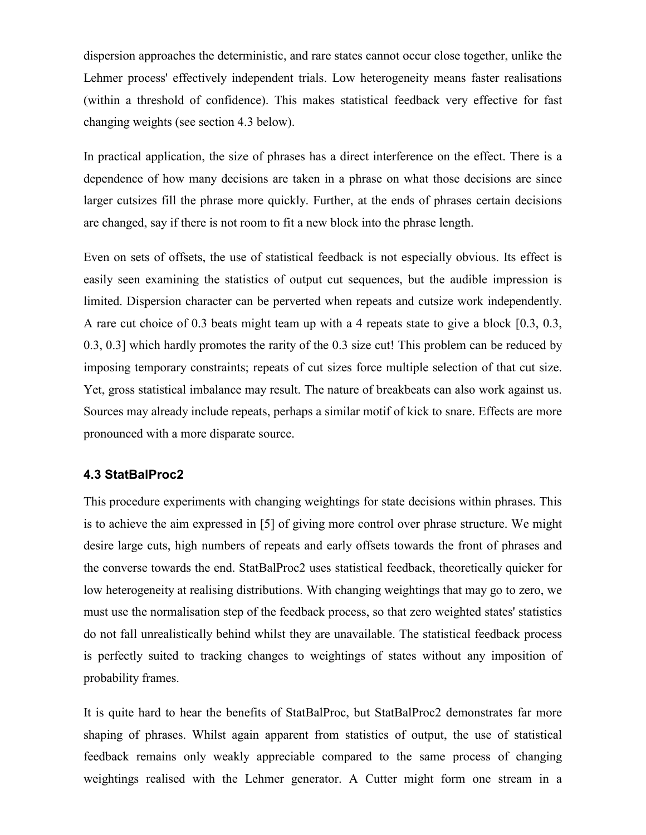dispersion approaches the deterministic, and rare states cannot occur close together, unlike the Lehmer process' effectively independent trials. Low heterogeneity means faster realisations (within a threshold of confidence). This makes statistical feedback very effective for fast changing weights (see section 4.3 below).

In practical application, the size of phrases has a direct interference on the effect. There is a dependence of how many decisions are taken in a phrase on what those decisions are since larger cutsizes fill the phrase more quickly. Further, at the ends of phrases certain decisions are changed, say if there is not room to fit a new block into the phrase length.

Even on sets of offsets, the use of statistical feedback is not especially obvious. Its effect is easily seen examining the statistics of output cut sequences, but the audible impression is limited. Dispersion character can be perverted when repeats and cutsize work independently. A rare cut choice of 0.3 beats might team up with a 4 repeats state to give a block [0.3, 0.3, 0.3, 0.3] which hardly promotes the rarity of the 0.3 size cut! This problem can be reduced by imposing temporary constraints; repeats of cut sizes force multiple selection of that cut size. Yet, gross statistical imbalance may result. The nature of breakbeats can also work against us. Sources may already include repeats, perhaps a similar motif of kick to snare. Effects are more pronounced with a more disparate source.

#### **4.3 StatBalProc2**

This procedure experiments with changing weightings for state decisions within phrases. This is to achieve the aim expressed in [5] of giving more control over phrase structure. We might desire large cuts, high numbers of repeats and early offsets towards the front of phrases and the converse towards the end. StatBalProc2 uses statistical feedback, theoretically quicker for low heterogeneity at realising distributions. With changing weightings that may go to zero, we must use the normalisation step of the feedback process, so that zero weighted states' statistics do not fall unrealistically behind whilst they are unavailable. The statistical feedback process is perfectly suited to tracking changes to weightings of states without any imposition of probability frames.

It is quite hard to hear the benefits of StatBalProc, but StatBalProc2 demonstrates far more shaping of phrases. Whilst again apparent from statistics of output, the use of statistical feedback remains only weakly appreciable compared to the same process of changing weightings realised with the Lehmer generator. A Cutter might form one stream in a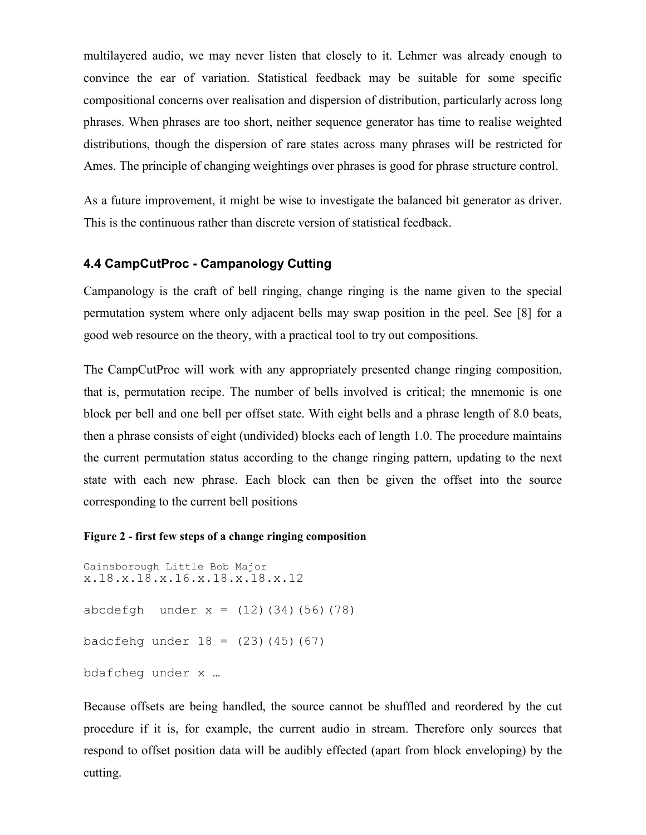multilayered audio, we may never listen that closely to it. Lehmer was already enough to convince the ear of variation. Statistical feedback may be suitable for some specific compositional concerns over realisation and dispersion of distribution, particularly across long phrases. When phrases are too short, neither sequence generator has time to realise weighted distributions, though the dispersion of rare states across many phrases will be restricted for Ames. The principle of changing weightings over phrases is good for phrase structure control.

As a future improvement, it might be wise to investigate the balanced bit generator as driver. This is the continuous rather than discrete version of statistical feedback.

### **4.4 CampCutProc - Campanology Cutting**

Campanology is the craft of bell ringing, change ringing is the name given to the special permutation system where only adjacent bells may swap position in the peel. See [8] for a good web resource on the theory, with a practical tool to try out compositions.

The CampCutProc will work with any appropriately presented change ringing composition, that is, permutation recipe. The number of bells involved is critical; the mnemonic is one block per bell and one bell per offset state. With eight bells and a phrase length of 8.0 beats, then a phrase consists of eight (undivided) blocks each of length 1.0. The procedure maintains the current permutation status according to the change ringing pattern, updating to the next state with each new phrase. Each block can then be given the offset into the source corresponding to the current bell positions

#### **Figure 2 - first few steps of a change ringing composition**

```
Gainsborough Little Bob Major
x.18.x.18.x.16.x.18.x.18.x.12
abcdefgh under x = (12)(34)(56)(78)badcfehg under 18 = (23)(45)(67)bdafcheg under x …
```
Because offsets are being handled, the source cannot be shuffled and reordered by the cut procedure if it is, for example, the current audio in stream. Therefore only sources that respond to offset position data will be audibly effected (apart from block enveloping) by the cutting.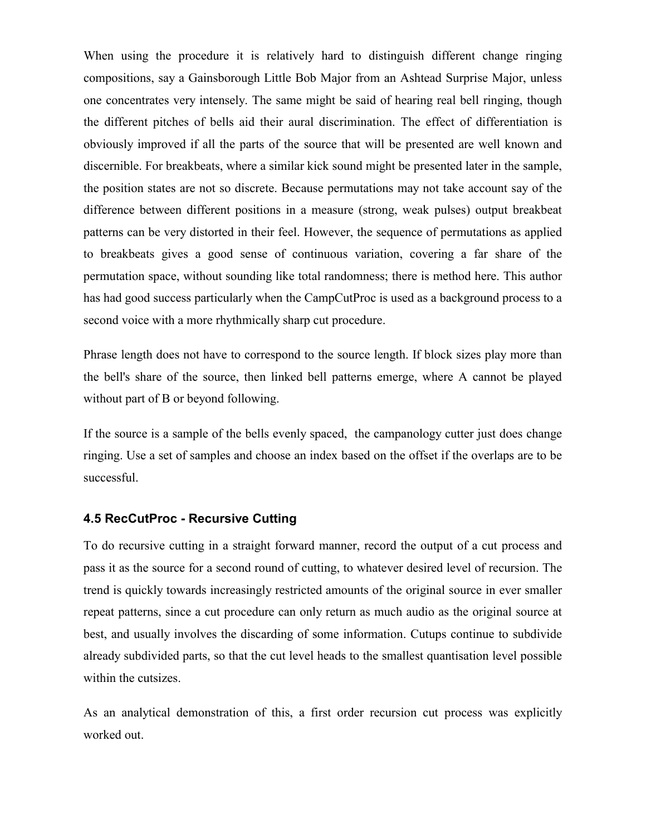When using the procedure it is relatively hard to distinguish different change ringing compositions, say a Gainsborough Little Bob Major from an Ashtead Surprise Major, unless one concentrates very intensely. The same might be said of hearing real bell ringing, though the different pitches of bells aid their aural discrimination. The effect of differentiation is obviously improved if all the parts of the source that will be presented are well known and discernible. For breakbeats, where a similar kick sound might be presented later in the sample, the position states are not so discrete. Because permutations may not take account say of the difference between different positions in a measure (strong, weak pulses) output breakbeat patterns can be very distorted in their feel. However, the sequence of permutations as applied to breakbeats gives a good sense of continuous variation, covering a far share of the permutation space, without sounding like total randomness; there is method here. This author has had good success particularly when the CampCutProc is used as a background process to a second voice with a more rhythmically sharp cut procedure.

Phrase length does not have to correspond to the source length. If block sizes play more than the bell's share of the source, then linked bell patterns emerge, where A cannot be played without part of B or beyond following.

If the source is a sample of the bells evenly spaced, the campanology cutter just does change ringing. Use a set of samples and choose an index based on the offset if the overlaps are to be successful.

#### **4.5 RecCutProc - Recursive Cutting**

To do recursive cutting in a straight forward manner, record the output of a cut process and pass it as the source for a second round of cutting, to whatever desired level of recursion. The trend is quickly towards increasingly restricted amounts of the original source in ever smaller repeat patterns, since a cut procedure can only return as much audio as the original source at best, and usually involves the discarding of some information. Cutups continue to subdivide already subdivided parts, so that the cut level heads to the smallest quantisation level possible within the cutsizes.

As an analytical demonstration of this, a first order recursion cut process was explicitly worked out.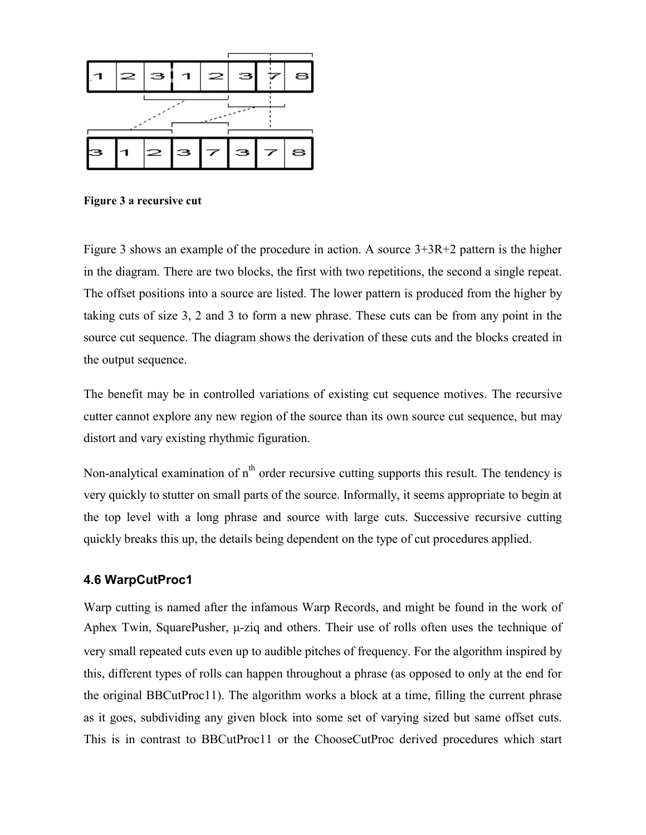

**Figure 3 a recursive cut**

Figure 3 shows an example of the procedure in action. A source 3+3R+2 pattern is the higher in the diagram. There are two blocks, the first with two repetitions, the second a single repeat. The offset positions into a source are listed. The lower pattern is produced from the higher by taking cuts of size 3, 2 and 3 to form a new phrase. These cuts can be from any point in the source cut sequence. The diagram shows the derivation of these cuts and the blocks created in the output sequence.

The benefit may be in controlled variations of existing cut sequence motives. The recursive cutter cannot explore any new region of the source than its own source cut sequence, but may distort and vary existing rhythmic figuration.

Non-analytical examination of  $n<sup>th</sup>$  order recursive cutting supports this result. The tendency is very quickly to stutter on small parts of the source. Informally, it seems appropriate to begin at the top level with a long phrase and source with large cuts. Successive recursive cutting quickly breaks this up, the details being dependent on the type of cut procedures applied.

### **4.6 WarpCutProc1**

Warp cutting is named after the infamous Warp Records, and might be found in the work of Aphex Twin, SquarePusher,  $\mu$ -ziq and others. Their use of rolls often uses the technique of very small repeated cuts even up to audible pitches of frequency. For the algorithm inspired by this, different types of rolls can happen throughout a phrase (as opposed to only at the end for the original BBCutProc11). The algorithm works a block at a time, filling the current phrase as it goes, subdividing any given block into some set of varying sized but same offset cuts. This is in contrast to BBCutProc11 or the ChooseCutProc derived procedures which start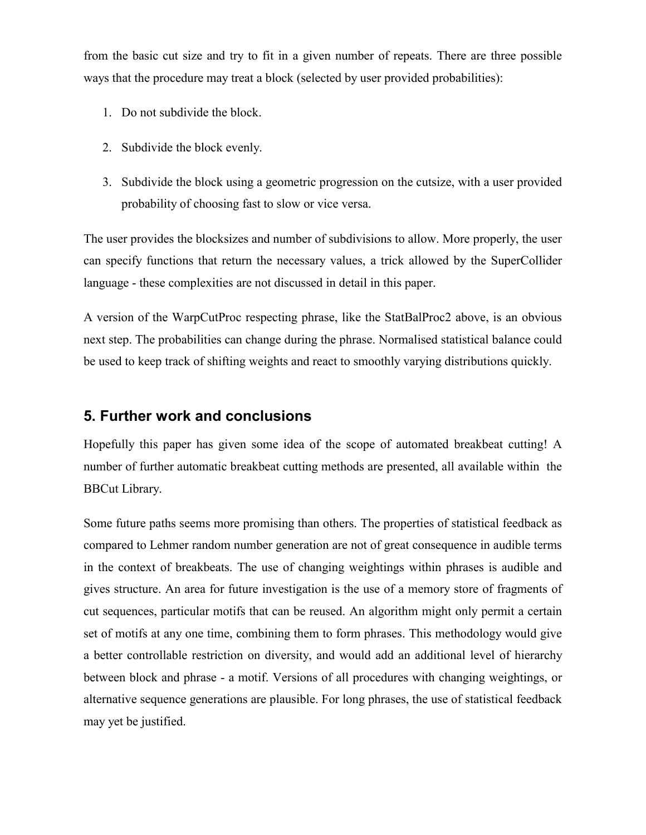from the basic cut size and try to fit in a given number of repeats. There are three possible ways that the procedure may treat a block (selected by user provided probabilities):

- 1. Do not subdivide the block.
- 2. Subdivide the block evenly.
- 3. Subdivide the block using a geometric progression on the cutsize, with a user provided probability of choosing fast to slow or vice versa.

The user provides the blocksizes and number of subdivisions to allow. More properly, the user can specify functions that return the necessary values, a trick allowed by the SuperCollider language - these complexities are not discussed in detail in this paper.

A version of the WarpCutProc respecting phrase, like the StatBalProc2 above, is an obvious next step. The probabilities can change during the phrase. Normalised statistical balance could be used to keep track of shifting weights and react to smoothly varying distributions quickly.

## **5. Further work and conclusions**

Hopefully this paper has given some idea of the scope of automated breakbeat cutting! A number of further automatic breakbeat cutting methods are presented, all available within the BBCut Library.

Some future paths seems more promising than others. The properties of statistical feedback as compared to Lehmer random number generation are not of great consequence in audible terms in the context of breakbeats. The use of changing weightings within phrases is audible and gives structure. An area for future investigation is the use of a memory store of fragments of cut sequences, particular motifs that can be reused. An algorithm might only permit a certain set of motifs at any one time, combining them to form phrases. This methodology would give a better controllable restriction on diversity, and would add an additional level of hierarchy between block and phrase - a motif. Versions of all procedures with changing weightings, or alternative sequence generations are plausible. For long phrases, the use of statistical feedback may yet be justified.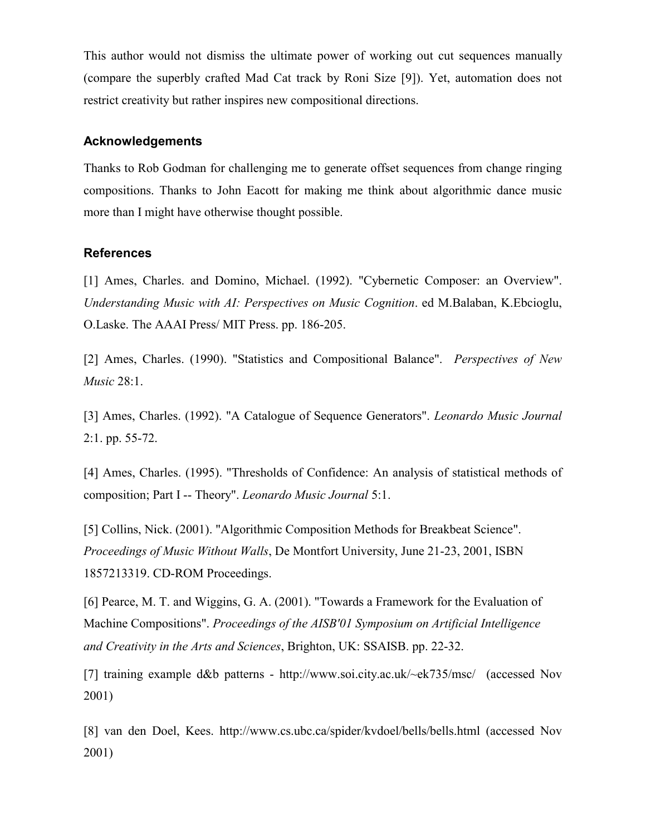This author would not dismiss the ultimate power of working out cut sequences manually (compare the superbly crafted Mad Cat track by Roni Size [9]). Yet, automation does not restrict creativity but rather inspires new compositional directions.

#### **Acknowledgements**

Thanks to Rob Godman for challenging me to generate offset sequences from change ringing compositions. Thanks to John Eacott for making me think about algorithmic dance music more than I might have otherwise thought possible.

#### **References**

[1] Ames, Charles. and Domino, Michael. (1992). "Cybernetic Composer: an Overview". *Understanding Music with AI: Perspectives on Music Cognition*. ed M.Balaban, K.Ebcioglu, O.Laske. The AAAI Press/ MIT Press. pp. 186-205.

[2] Ames, Charles. (1990). "Statistics and Compositional Balance". *Perspectives of New Music* 28:1.

[3] Ames, Charles. (1992). "A Catalogue of Sequence Generators". *Leonardo Music Journal* 2:1. pp. 55-72.

[4] Ames, Charles. (1995). "Thresholds of Confidence: An analysis of statistical methods of composition; Part I -- Theory". *Leonardo Music Journal* 5:1.

[5] Collins, Nick. (2001). "Algorithmic Composition Methods for Breakbeat Science". *Proceedings of Music Without Walls*, De Montfort University, June 21-23, 2001, ISBN 1857213319. CD-ROM Proceedings.

[6] Pearce, M. T. and Wiggins, G. A. (2001). "Towards a Framework for the Evaluation of Machine Compositions". *Proceedings of the AISB'01 Symposium on Artificial Intelligence and Creativity in the Arts and Sciences*, Brighton, UK: SSAISB. pp. 22-32.

[7] training example d&b patterns - http://www.soi.city.ac.uk/~ek735/msc/ (accessed Nov 2001)

[8] van den Doel, Kees. http://www.cs.ubc.ca/spider/kvdoel/bells/bells.html (accessed Nov 2001)